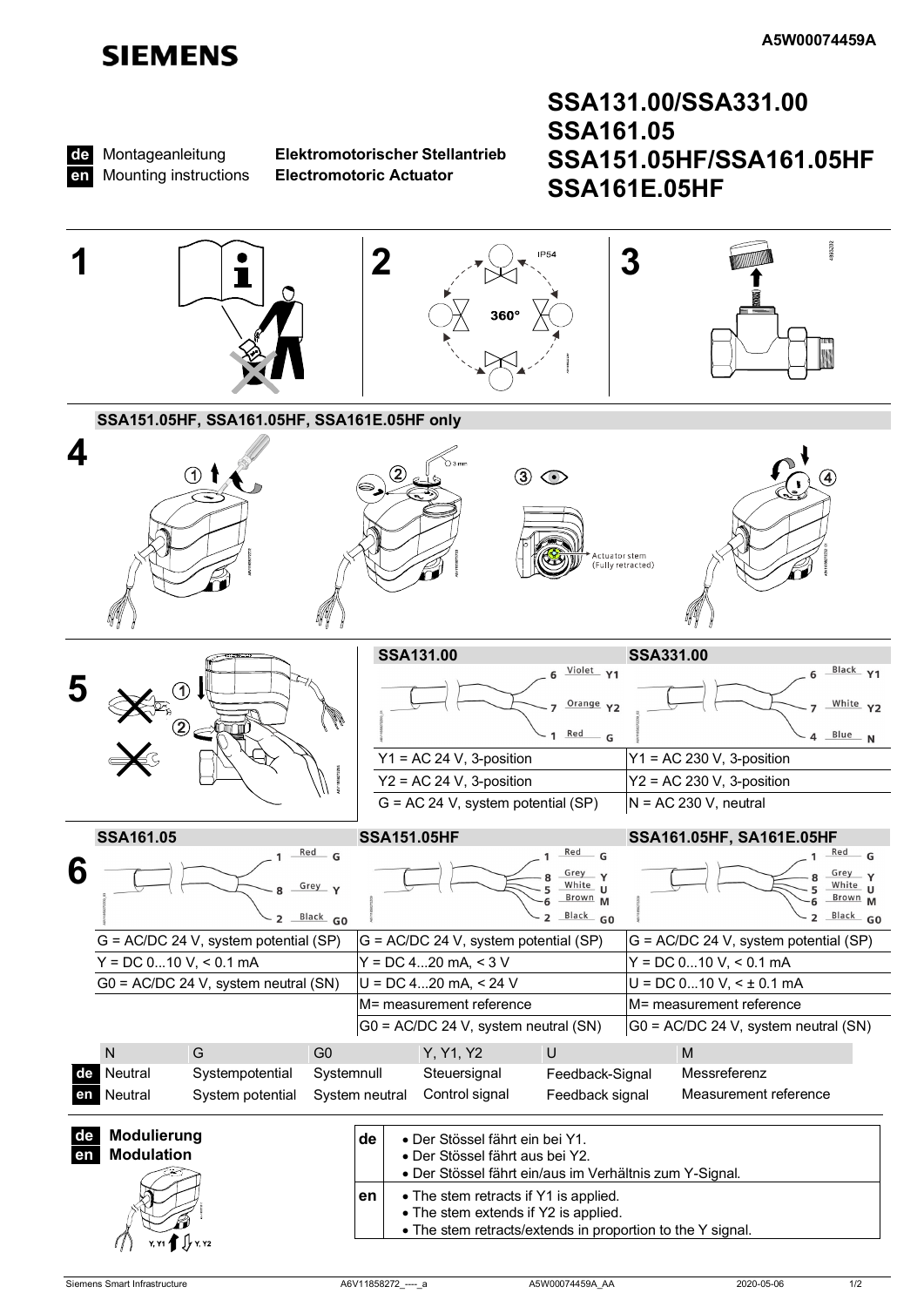# **SIEMENS**



Montageanleitung **Mounting instructions** 

Elektromotorischer Stellantrieb **Electromotoric Actuator** 

## SSA131.00/SSA331.00 **SSA161.05** SSA151.05HF/SSA161.05HF **SSA161E.05HF**

<span id="page-0-1"></span><span id="page-0-0"></span>